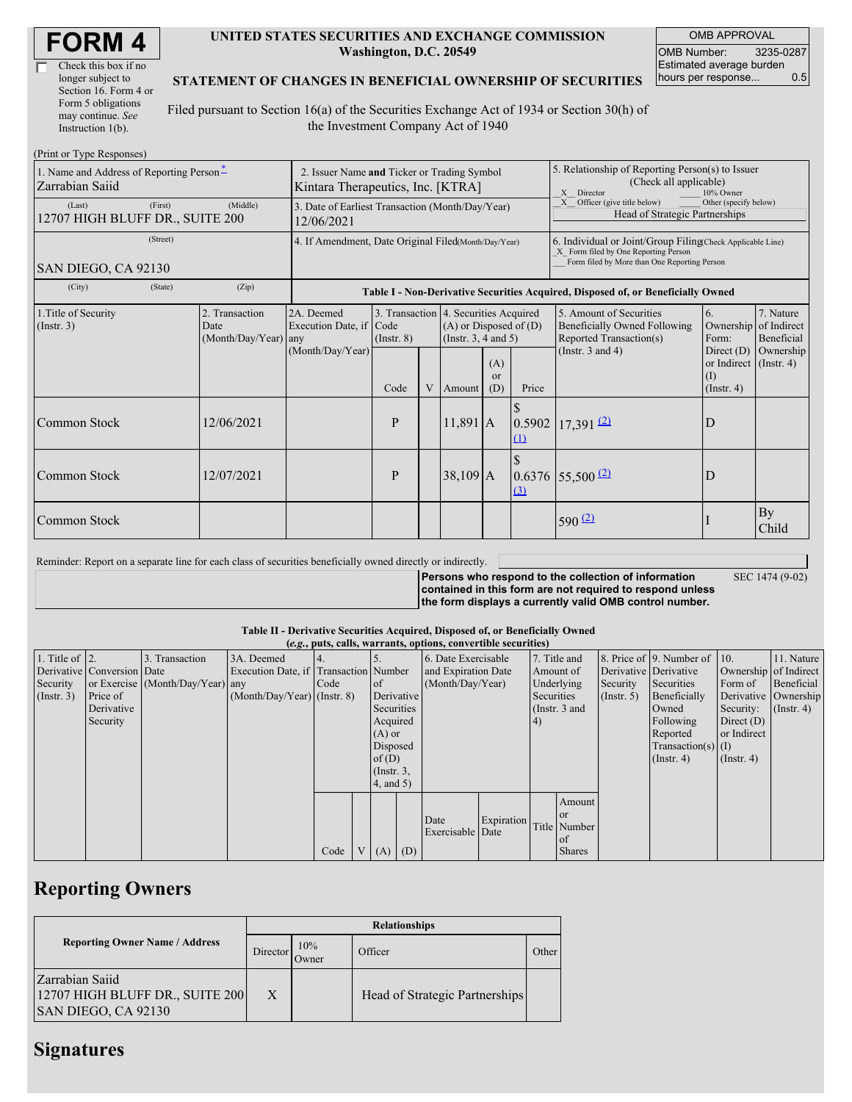| Check this box if no  |
|-----------------------|
| longer subject to     |
| Section 16. Form 4 or |
| Form 5 obligations    |
| may continue. See     |
| Instruction 1(b).     |

### **UNITED STATES SECURITIES AND EXCHANGE COMMISSION Washington, D.C. 20549**

OMB APPROVAL OMB Number: 3235-0287 Estimated average burden hours per response... 0.5

SEC 1474 (9-02)

### **STATEMENT OF CHANGES IN BENEFICIAL OWNERSHIP OF SECURITIES**

Filed pursuant to Section 16(a) of the Securities Exchange Act of 1934 or Section 30(h) of the Investment Company Act of 1940

| (Print or Type Responses)                                   |                                                                                  |                                                                                  |                 |   |                                                                                             |                                                                                            |                                                                                                                                                    |                                                                                    |                                                                    |                         |
|-------------------------------------------------------------|----------------------------------------------------------------------------------|----------------------------------------------------------------------------------|-----------------|---|---------------------------------------------------------------------------------------------|--------------------------------------------------------------------------------------------|----------------------------------------------------------------------------------------------------------------------------------------------------|------------------------------------------------------------------------------------|--------------------------------------------------------------------|-------------------------|
| 1. Name and Address of Reporting Person-<br>Zarrabian Saiid | 2. Issuer Name and Ticker or Trading Symbol<br>Kintara Therapeutics, Inc. [KTRA] |                                                                                  |                 |   |                                                                                             |                                                                                            | 5. Relationship of Reporting Person(s) to Issuer<br>(Check all applicable)<br>X Director<br>10% Owner                                              |                                                                                    |                                                                    |                         |
| (First)<br>(Last)<br>12707 HIGH BLUFF DR., SUITE 200        | 3. Date of Earliest Transaction (Month/Day/Year)<br>12/06/2021                   |                                                                                  |                 |   |                                                                                             | Officer (give title below)<br>Other (specify below)<br>X<br>Head of Strategic Partnerships |                                                                                                                                                    |                                                                                    |                                                                    |                         |
| (Street)<br>SAN DIEGO, CA 92130                             | 4. If Amendment, Date Original Filed(Month/Day/Year)                             |                                                                                  |                 |   |                                                                                             |                                                                                            | 6. Individual or Joint/Group Filing(Check Applicable Line)<br>X Form filed by One Reporting Person<br>Form filed by More than One Reporting Person |                                                                                    |                                                                    |                         |
| (City)<br>(State)                                           | (Zip)                                                                            | Table I - Non-Derivative Securities Acquired, Disposed of, or Beneficially Owned |                 |   |                                                                                             |                                                                                            |                                                                                                                                                    |                                                                                    |                                                                    |                         |
| 1. Title of Security<br>$($ Instr. 3 $)$                    | 2. Transaction<br>Date<br>(Month/Day/Year)                                       | 2A. Deemed<br>Execution Date, if Code<br>any<br>(Month/Day/Year)                 | $($ Instr. $8)$ |   | 3. Transaction 4. Securities Acquired<br>$(A)$ or Disposed of $(D)$<br>(Insert. 3, 4 and 5) |                                                                                            |                                                                                                                                                    | 5. Amount of Securities<br>Beneficially Owned Following<br>Reported Transaction(s) | 6.<br>Ownership of Indirect<br>Form:                               | 7. Nature<br>Beneficial |
|                                                             |                                                                                  |                                                                                  | Code            | V | Amount                                                                                      | (A)<br>$\alpha$<br>(D)                                                                     | Price                                                                                                                                              | (Instr. $3$ and $4$ )                                                              | Direct $(D)$<br>or Indirect $($ Instr. 4 $)$<br>(I)<br>(Insert, 4) | Ownership               |
| Common Stock                                                | 12/06/2021                                                                       |                                                                                  | P               |   | $11,891$ A                                                                                  |                                                                                            | 0.5902<br>$\Omega$                                                                                                                                 | $17,391$ (2)                                                                       | D                                                                  |                         |
| Common Stock                                                | 12/07/2021                                                                       |                                                                                  | P               |   | $38,109$ A                                                                                  |                                                                                            | $\Omega$                                                                                                                                           | $0.6376$ 55,500 $\frac{2}{2}$                                                      | D                                                                  |                         |
| Common Stock                                                |                                                                                  |                                                                                  |                 |   |                                                                                             |                                                                                            |                                                                                                                                                    | $590^{(2)}$                                                                        |                                                                    | By<br>Child             |

Reminder: Report on a separate line for each class of securities beneficially owned directly or indirectly.

**Persons who respond to the collection of information contained in this form are not required to respond unless the form displays a currently valid OMB control number.**

#### **Table II - Derivative Securities Acquired, Disposed of, or Beneficially Owned**

|                        | (e.g., puts, calls, warrants, options, convertible securities) |                                  |                                       |      |                |                 |  |                     |            |               |                  |                       |                          |                       |                  |
|------------------------|----------------------------------------------------------------|----------------------------------|---------------------------------------|------|----------------|-----------------|--|---------------------|------------|---------------|------------------|-----------------------|--------------------------|-----------------------|------------------|
| 1. Title of $\vert$ 2. |                                                                | 3. Transaction                   | 3A. Deemed                            |      |                |                 |  | 6. Date Exercisable |            |               | 7. Title and     |                       | 8. Price of 9. Number of | 10.                   | 11. Nature       |
|                        | Derivative Conversion Date                                     |                                  | Execution Date, if Transaction Number |      |                |                 |  | and Expiration Date |            | Amount of     |                  | Derivative Derivative |                          | Ownership of Indirect |                  |
| Security               |                                                                | or Exercise (Month/Day/Year) any |                                       | Code |                | of              |  | (Month/Day/Year)    | Underlying |               | Security         | Securities            | Form of                  | Beneficial            |                  |
| (Insert. 3)            | Price of                                                       |                                  | $(Month/Day/Year)$ (Instr. 8)         |      |                | Derivative      |  |                     | Securities |               | $($ Instr. 5 $)$ | Beneficially          | Derivative Ownership     |                       |                  |
|                        | Derivative                                                     |                                  |                                       |      |                | Securities      |  |                     |            | (Instr. 3 and |                  |                       | Owned                    | Security:             | $($ Instr. 4 $)$ |
|                        | Security                                                       |                                  |                                       |      | Acquired       |                 |  |                     |            |               |                  |                       | Following                | Direct $(D)$          |                  |
|                        |                                                                |                                  |                                       |      | $(A)$ or       |                 |  |                     |            |               |                  |                       | Reported                 | or Indirect           |                  |
|                        |                                                                |                                  |                                       |      | Disposed       |                 |  |                     |            |               |                  |                       | $Transaction(s)$ (I)     |                       |                  |
|                        |                                                                |                                  |                                       |      |                | of $(D)$        |  |                     |            |               |                  |                       | $($ Instr. 4 $)$         | $($ Instr. 4)         |                  |
|                        |                                                                |                                  |                                       |      |                | $($ Instr. $3,$ |  |                     |            |               |                  |                       |                          |                       |                  |
|                        |                                                                |                                  |                                       |      |                | $4$ , and $5$ ) |  |                     |            |               |                  |                       |                          |                       |                  |
|                        |                                                                |                                  |                                       |      |                |                 |  |                     |            |               | Amount           |                       |                          |                       |                  |
|                        |                                                                |                                  |                                       |      |                |                 |  |                     |            |               | <sub>or</sub>    |                       |                          |                       |                  |
|                        |                                                                |                                  |                                       |      |                |                 |  | Date                | Expiration |               | Title Number     |                       |                          |                       |                  |
|                        |                                                                |                                  |                                       |      |                |                 |  | Exercisable Date    |            |               | l of             |                       |                          |                       |                  |
|                        |                                                                |                                  |                                       | Code | V <sub>1</sub> | $(A)$ $(D)$     |  |                     |            |               | <b>Shares</b>    |                       |                          |                       |                  |

# **Reporting Owners**

|                                                                           | <b>Relationships</b> |              |                                |         |  |  |  |  |  |
|---------------------------------------------------------------------------|----------------------|--------------|--------------------------------|---------|--|--|--|--|--|
| <b>Reporting Owner Name / Address</b>                                     | Director             | 10%<br>Owner | Officer                        | Other I |  |  |  |  |  |
| Zarrabian Saiid<br>12707 HIGH BLUFF DR., SUITE 200<br>SAN DIEGO, CA 92130 | X                    |              | Head of Strategic Partnerships |         |  |  |  |  |  |

## **Signatures**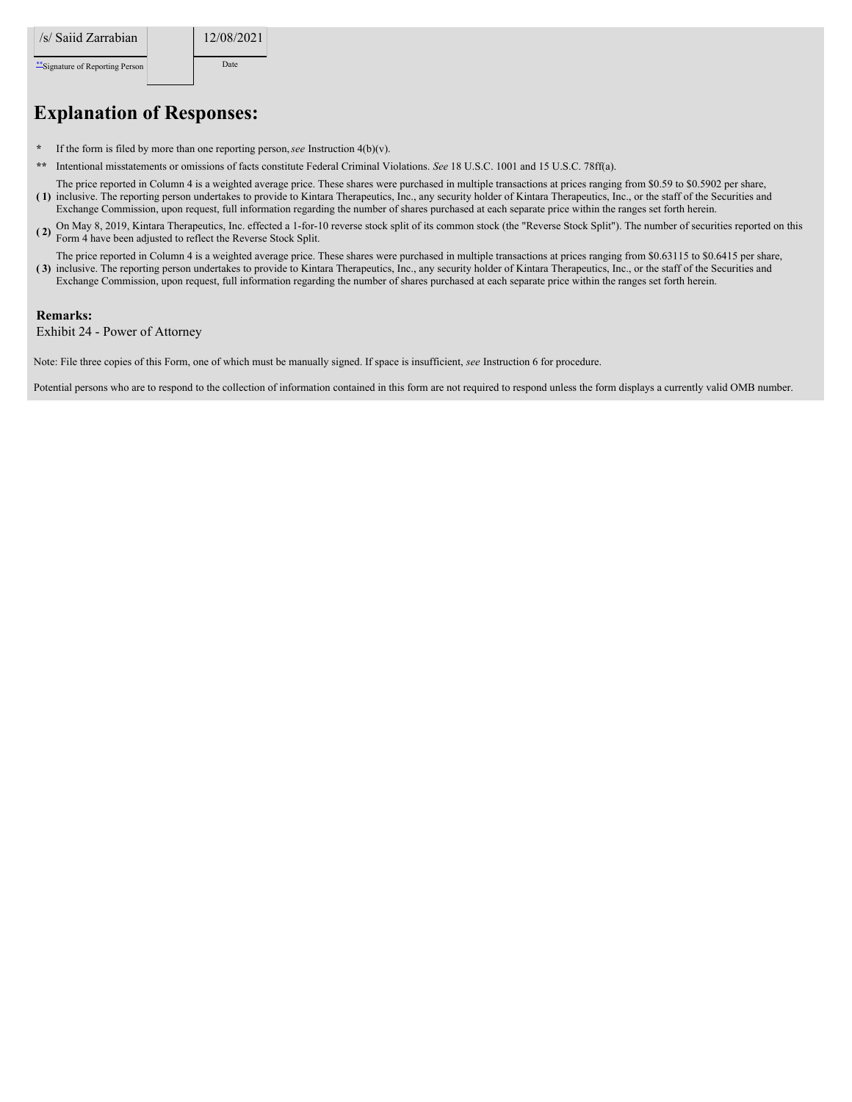\*\*Signature of Reporting Person Date

# **Explanation of Responses:**

- **\*** If the form is filed by more than one reporting person,*see* Instruction 4(b)(v).
- **\*\*** Intentional misstatements or omissions of facts constitute Federal Criminal Violations. *See* 18 U.S.C. 1001 and 15 U.S.C. 78ff(a).
- **( 1)** inclusive. The reporting person undertakes to provide to Kintara Therapeutics, Inc., any security holder of Kintara Therapeutics, Inc., or the staff of the Securities and The price reported in Column 4 is a weighted average price. These shares were purchased in multiple transactions at prices ranging from \$0.59 to \$0.5902 per share, Exchange Commission, upon request, full information regarding the number of shares purchased at each separate price within the ranges set forth herein.
- (2) On May 8, 2019, Kintara Therapeutics, Inc. effected a 1-for-10 reverse stock split of its common stock (the "Reverse Stock Split"). The number of securities reported on this Equation of the Payman Stock Split  $\sum_{n=1}^$ Form 4 have been adjusted to reflect the Reverse Stock Split.
- **( 3)** inclusive. The reporting person undertakes to provide to Kintara Therapeutics, Inc., any security holder of Kintara Therapeutics, Inc., or the staff of the Securities and The price reported in Column 4 is a weighted average price. These shares were purchased in multiple transactions at prices ranging from \$0.63115 to \$0.6415 per share, Exchange Commission, upon request, full information regarding the number of shares purchased at each separate price within the ranges set forth herein.

#### **Remarks:**

Exhibit 24 - Power of Attorney

Note: File three copies of this Form, one of which must be manually signed. If space is insufficient, *see* Instruction 6 for procedure.

Potential persons who are to respond to the collection of information contained in this form are not required to respond unless the form displays a currently valid OMB number.